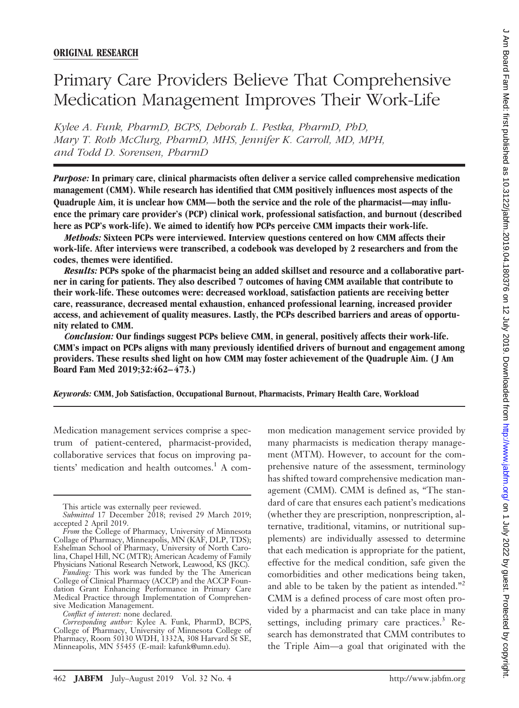# Primary Care Providers Believe That Comprehensive Medication Management Improves Their Work-Life

*Kylee A. Funk, PharmD, BCPS, Deborah L. Pestka, PharmD, PhD, Mary T. Roth McClurg, PharmD, MHS, Jennifer K. Carroll, MD, MPH, and Todd D. Sorensen, PharmD*

*Purpose:* **In primary care, clinical pharmacists often deliver a service called comprehensive medication management (CMM). While research has identified that CMM positively influences most aspects of the Quadruple Aim, it is unclear how CMM— both the service and the role of the pharmacist—may influence the primary care provider's (PCP) clinical work, professional satisfaction, and burnout (described here as PCP's work-life). We aimed to identify how PCPs perceive CMM impacts their work-life.**

*Methods:* **Sixteen PCPs were interviewed. Interview questions centered on how CMM affects their work-life. After interviews were transcribed, a codebook was developed by 2 researchers and from the codes, themes were identified.**

*Results:* **PCPs spoke of the pharmacist being an added skillset and resource and a collaborative partner in caring for patients. They also described 7 outcomes of having CMM available that contribute to their work-life. These outcomes were: decreased workload, satisfaction patients are receiving better care, reassurance, decreased mental exhaustion, enhanced professional learning, increased provider access, and achievement of quality measures. Lastly, the PCPs described barriers and areas of opportunity related to CMM.**

*Conclusion:* **Our findings suggest PCPs believe CMM, in general, positively affects their work-life. CMM's impact on PCPs aligns with many previously identified drivers of burnout and engagement among providers. These results shed light on how CMM may foster achievement of the Quadruple Aim. ( J Am Board Fam Med 2019;32:462– 473.)**

*Keywords:* **CMM, Job Satisfaction, Occupational Burnout, Pharmacists, Primary Health Care, Workload**

Medication management services comprise a spectrum of patient-centered, pharmacist-provided, collaborative services that focus on improving patients' medication and health outcomes.<sup>1</sup> A com-

*Conflict of interest:* none declared.

mon medication management service provided by many pharmacists is medication therapy management (MTM). However, to account for the comprehensive nature of the assessment, terminology has shifted toward comprehensive medication management (CMM). CMM is defined as, "The standard of care that ensures each patient's medications (whether they are prescription, nonprescription, alternative, traditional, vitamins, or nutritional supplements) are individually assessed to determine that each medication is appropriate for the patient, effective for the medical condition, safe given the comorbidities and other medications being taken, and able to be taken by the patient as intended."<sup>2</sup> CMM is a defined process of care most often provided by a pharmacist and can take place in many settings, including primary care practices.<sup>3</sup> Research has demonstrated that CMM contributes to the Triple Aim—a goal that originated with the

This article was externally peer reviewed.

Submitted 17 December 2018; revised 29 March 2019; accepted 2 April 2019.

*From* the College of Pharmacy, University of Minnesota Collage of Pharmacy, Minneapolis, MN (KAF, DLP, TDS); Eshelman School of Pharmacy, University of North Carolina, Chapel Hill, NC (MTR); American Academy of Family Physicians National Research Network, Leawood, KS (JKC).

*Funding:* This work was funded by the The American College of Clinical Pharmacy (ACCP) and the ACCP Foundation Grant Enhancing Performance in Primary Care Medical Practice through Implementation of Comprehensive Medication Management.

*Corresponding author:* Kylee A. Funk, PharmD, BCPS, College of Pharmacy, University of Minnesota College of Pharmacy, Room 50130 WDH, 1332A, 308 Harvard St SE, Minneapolis, MN 55455 (E-mail: kafunk@umn.edu).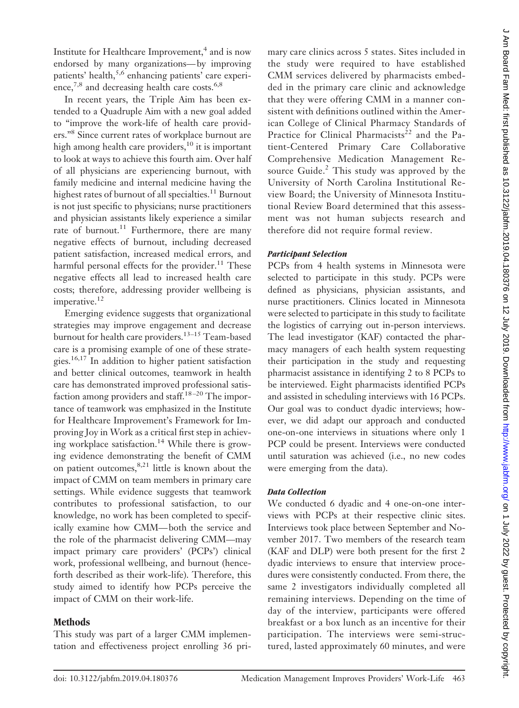Institute for Healthcare Improvement, $<sup>4</sup>$  and is now</sup> endorsed by many organizations— by improving patients' health,<sup>5,6</sup> enhancing patients' care experience,<sup>7,8</sup> and decreasing health care costs.<sup>6,8</sup>

In recent years, the Triple Aim has been extended to a Quadruple Aim with a new goal added to "improve the work-life of health care providers."8 Since current rates of workplace burnout are high among health care providers,<sup>10</sup> it is important to look at ways to achieve this fourth aim. Over half of all physicians are experiencing burnout, with family medicine and internal medicine having the highest rates of burnout of all specialties.<sup>11</sup> Burnout is not just specific to physicians; nurse practitioners and physician assistants likely experience a similar rate of burnout.<sup>11</sup> Furthermore, there are many negative effects of burnout, including decreased patient satisfaction, increased medical errors, and harmful personal effects for the provider.<sup>11</sup> These negative effects all lead to increased health care costs; therefore, addressing provider wellbeing is imperative.<sup>12</sup>

Emerging evidence suggests that organizational strategies may improve engagement and decrease burnout for health care providers.13–15 Team-based care is a promising example of one of these strategies.16,17 In addition to higher patient satisfaction and better clinical outcomes, teamwork in health care has demonstrated improved professional satisfaction among providers and staff.<sup>18-20</sup> The importance of teamwork was emphasized in the Institute for Healthcare Improvement's Framework for Improving Joy in Work as a critical first step in achieving workplace satisfaction.<sup>14</sup> While there is growing evidence demonstrating the benefit of CMM on patient outcomes,  $8,21$  little is known about the impact of CMM on team members in primary care settings. While evidence suggests that teamwork contributes to professional satisfaction, to our knowledge, no work has been completed to specifically examine how CMM— both the service and the role of the pharmacist delivering CMM—may impact primary care providers' (PCPs') clinical work, professional wellbeing, and burnout (henceforth described as their work-life). Therefore, this study aimed to identify how PCPs perceive the impact of CMM on their work-life.

# **Methods**

This study was part of a larger CMM implementation and effectiveness project enrolling 36 primary care clinics across 5 states. Sites included in the study were required to have established CMM services delivered by pharmacists embedded in the primary care clinic and acknowledge that they were offering CMM in a manner consistent with definitions outlined within the American College of Clinical Pharmacy Standards of Practice for Clinical Pharmacists<sup>22</sup> and the Patient-Centered Primary Care Collaborative Comprehensive Medication Management Resource Guide.<sup>2</sup> This study was approved by the University of North Carolina Institutional Review Board; the University of Minnesota Institutional Review Board determined that this assessment was not human subjects research and therefore did not require formal review.

# *Participant Selection*

PCPs from 4 health systems in Minnesota were selected to participate in this study. PCPs were defined as physicians, physician assistants, and nurse practitioners. Clinics located in Minnesota were selected to participate in this study to facilitate the logistics of carrying out in-person interviews. The lead investigator (KAF) contacted the pharmacy managers of each health system requesting their participation in the study and requesting pharmacist assistance in identifying 2 to 8 PCPs to be interviewed. Eight pharmacists identified PCPs and assisted in scheduling interviews with 16 PCPs. Our goal was to conduct dyadic interviews; however, we did adapt our approach and conducted one-on-one interviews in situations where only 1 PCP could be present. Interviews were conducted until saturation was achieved (i.e., no new codes were emerging from the data).

# *Data Collection*

We conducted 6 dyadic and 4 one-on-one interviews with PCPs at their respective clinic sites. Interviews took place between September and November 2017. Two members of the research team (KAF and DLP) were both present for the first 2 dyadic interviews to ensure that interview procedures were consistently conducted. From there, the same 2 investigators individually completed all remaining interviews. Depending on the time of day of the interview, participants were offered breakfast or a box lunch as an incentive for their participation. The interviews were semi-structured, lasted approximately 60 minutes, and were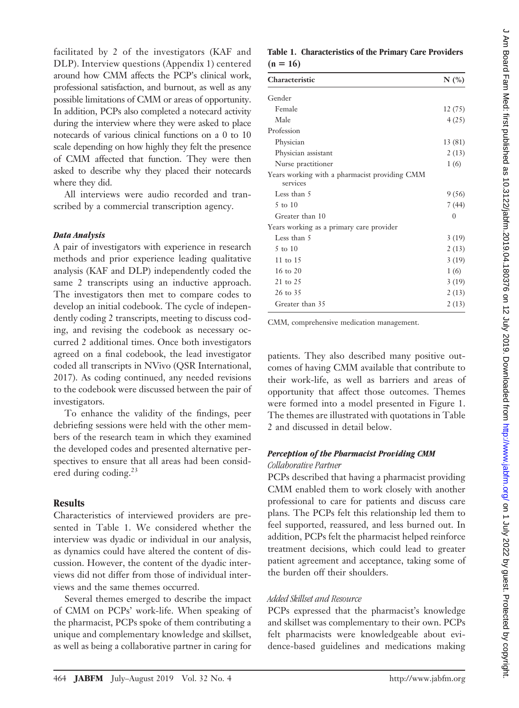facilitated by 2 of the investigators (KAF and DLP). Interview questions (Appendix 1) centered around how CMM affects the PCP's clinical work, professional satisfaction, and burnout, as well as any possible limitations of CMM or areas of opportunity. In addition, PCPs also completed a notecard activity during the interview where they were asked to place notecards of various clinical functions on a 0 to 10 scale depending on how highly they felt the presence of CMM affected that function. They were then asked to describe why they placed their notecards where they did.

All interviews were audio recorded and transcribed by a commercial transcription agency.

#### *Data Analysis*

A pair of investigators with experience in research methods and prior experience leading qualitative analysis (KAF and DLP) independently coded the same 2 transcripts using an inductive approach. The investigators then met to compare codes to develop an initial codebook. The cycle of independently coding 2 transcripts, meeting to discuss coding, and revising the codebook as necessary occurred 2 additional times. Once both investigators agreed on a final codebook, the lead investigator coded all transcripts in NVivo (QSR International, 2017). As coding continued, any needed revisions to the codebook were discussed between the pair of investigators.

To enhance the validity of the findings, peer debriefing sessions were held with the other members of the research team in which they examined the developed codes and presented alternative perspectives to ensure that all areas had been considered during coding.<sup>23</sup>

#### **Results**

Characteristics of interviewed providers are presented in Table 1. We considered whether the interview was dyadic or individual in our analysis, as dynamics could have altered the content of discussion. However, the content of the dyadic interviews did not differ from those of individual interviews and the same themes occurred.

Several themes emerged to describe the impact of CMM on PCPs' work-life. When speaking of the pharmacist, PCPs spoke of them contributing a unique and complementary knowledge and skillset, as well as being a collaborative partner in caring for

# **Table 1. Characteristics of the Primary Care Providers**  $(n = 16)$

| Characteristic                                            | $N$ (%)  |
|-----------------------------------------------------------|----------|
| Gender                                                    |          |
| Female                                                    | 12(75)   |
| Male                                                      | 4(25)    |
| Profession                                                |          |
| Physician                                                 | 13 (81)  |
| Physician assistant                                       | 2(13)    |
| Nurse practitioner                                        | 1(6)     |
| Years working with a pharmacist providing CMM<br>services |          |
| Less than 5                                               | 9(56)    |
| 5 to 10                                                   | 7 (44)   |
| Greater than 10                                           | $\theta$ |
| Years working as a primary care provider                  |          |
| Less than 5                                               | 3(19)    |
| 5 to 10                                                   | 2(13)    |
| 11 to $15$                                                | 3(19)    |
| $16 \text{ to } 20$                                       | 1(6)     |
| 21 to 25                                                  | 3(19)    |
| 26 to 35                                                  | 2(13)    |
| Greater than 35                                           | 2(13)    |
|                                                           |          |

CMM, comprehensive medication management.

patients. They also described many positive outcomes of having CMM available that contribute to their work-life, as well as barriers and areas of opportunity that affect those outcomes. Themes were formed into a model presented in Figure 1. The themes are illustrated with quotations in Table 2 and discussed in detail below.

## *Perception of the Pharmacist Providing CMM Collaborative Partner*

PCPs described that having a pharmacist providing CMM enabled them to work closely with another professional to care for patients and discuss care plans. The PCPs felt this relationship led them to feel supported, reassured, and less burned out. In addition, PCPs felt the pharmacist helped reinforce treatment decisions, which could lead to greater patient agreement and acceptance, taking some of the burden off their shoulders.

#### *Added Skillset and Resource*

PCPs expressed that the pharmacist's knowledge and skillset was complementary to their own. PCPs felt pharmacists were knowledgeable about evidence-based guidelines and medications making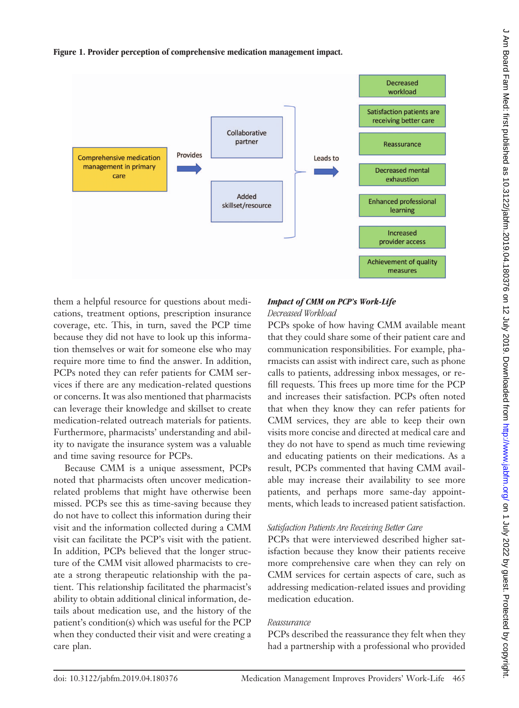**Figure 1. Provider perception of comprehensive medication management impact.**



them a helpful resource for questions about medications, treatment options, prescription insurance coverage, etc. This, in turn, saved the PCP time because they did not have to look up this information themselves or wait for someone else who may require more time to find the answer. In addition, PCPs noted they can refer patients for CMM services if there are any medication-related questions or concerns. It was also mentioned that pharmacists can leverage their knowledge and skillset to create medication-related outreach materials for patients. Furthermore, pharmacists' understanding and ability to navigate the insurance system was a valuable and time saving resource for PCPs.

Because CMM is a unique assessment, PCPs noted that pharmacists often uncover medicationrelated problems that might have otherwise been missed. PCPs see this as time-saving because they do not have to collect this information during their visit and the information collected during a CMM visit can facilitate the PCP's visit with the patient. In addition, PCPs believed that the longer structure of the CMM visit allowed pharmacists to create a strong therapeutic relationship with the patient. This relationship facilitated the pharmacist's ability to obtain additional clinical information, details about medication use, and the history of the patient's condition(s) which was useful for the PCP when they conducted their visit and were creating a care plan.

## *Impact of CMM on PCP's Work-Life Decreased Workload*

PCPs spoke of how having CMM available meant that they could share some of their patient care and communication responsibilities. For example, pharmacists can assist with indirect care, such as phone calls to patients, addressing inbox messages, or refill requests. This frees up more time for the PCP and increases their satisfaction. PCPs often noted that when they know they can refer patients for CMM services, they are able to keep their own visits more concise and directed at medical care and they do not have to spend as much time reviewing and educating patients on their medications. As a result, PCPs commented that having CMM available may increase their availability to see more patients, and perhaps more same-day appointments, which leads to increased patient satisfaction.

# *Satisfaction Patients Are Receiving Better Care*

PCPs that were interviewed described higher satisfaction because they know their patients receive more comprehensive care when they can rely on CMM services for certain aspects of care, such as addressing medication-related issues and providing medication education.

# *Reassurance*

PCPs described the reassurance they felt when they had a partnership with a professional who provided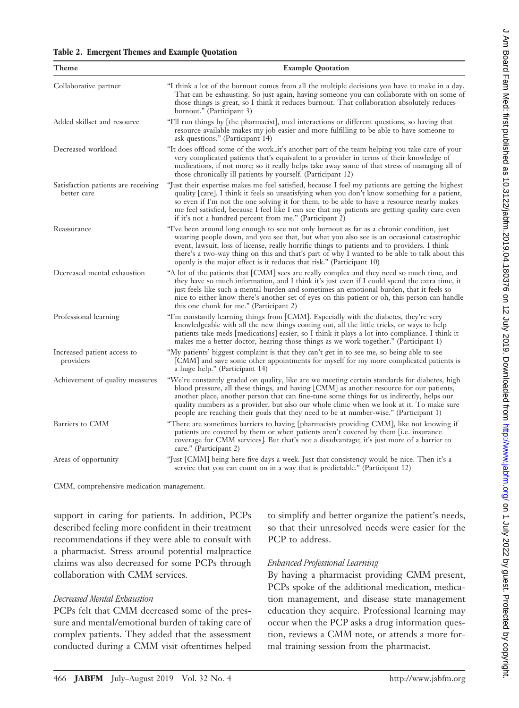|  | Table 2. Emergent Themes and Example Quotation |  |  |  |  |  |
|--|------------------------------------------------|--|--|--|--|--|
|--|------------------------------------------------|--|--|--|--|--|

| Theme                                              | <b>Example Quotation</b>                                                                                                                                                                                                                                                                                                                                                                                                                                                     |  |  |  |
|----------------------------------------------------|------------------------------------------------------------------------------------------------------------------------------------------------------------------------------------------------------------------------------------------------------------------------------------------------------------------------------------------------------------------------------------------------------------------------------------------------------------------------------|--|--|--|
| Collaborative partner                              | "I think a lot of the burnout comes from all the multiple decisions you have to make in a day.<br>That can be exhausting. So just again, having someone you can collaborate with on some of<br>those things is great, so I think it reduces burnout. That collaboration absolutely reduces<br>burnout." (Participant 3)                                                                                                                                                      |  |  |  |
| Added skillset and resource                        | "I'll run things by the pharmacist, med interactions or different questions, so having that<br>resource available makes my job easier and more fulfilling to be able to have someone to<br>ask questions." (Participant 14)                                                                                                                                                                                                                                                  |  |  |  |
| Decreased workload                                 | "It does offload some of the workit's another part of the team helping you take care of your<br>very complicated patients that's equivalent to a provider in terms of their knowledge of<br>medications, if not more; so it really helps take away some of that stress of managing all of<br>those chronically ill patients by yourself. (Participant 12)                                                                                                                    |  |  |  |
| Satisfaction patients are receiving<br>better care | "Just their expertise makes me feel satisfied, because I feel my patients are getting the highest<br>quality [care]. I think it feels so unsatisfying when you don't know something for a patient,<br>so even if I'm not the one solving it for them, to be able to have a resource nearby makes<br>me feel satisfied, because I feel like I can see that my patients are getting quality care even<br>if it's not a hundred percent from me." (Participant 2)               |  |  |  |
| Reassurance                                        | "I've been around long enough to see not only burnout as far as a chronic condition, just<br>wearing people down, and you see that, but what you also see is an occasional catastrophic<br>event, lawsuit, loss of license, really horrific things to patients and to providers. I think<br>there's a two-way thing on this and that's part of why I wanted to be able to talk about this<br>openly is the major effect is it reduces that risk." (Participant 10)           |  |  |  |
| Decreased mental exhaustion                        | "A lot of the patients that [CMM] sees are really complex and they need so much time, and<br>they have so much information, and I think it's just even if I could spend the extra time, it<br>just feels like such a mental burden and sometimes an emotional burden, that it feels so<br>nice to either know there's another set of eyes on this patient or oh, this person can handle<br>this one chunk for me." (Participant 2)                                           |  |  |  |
| Professional learning                              | "I'm constantly learning things from [CMM]. Especially with the diabetes, they're very<br>knowledgeable with all the new things coming out, all the little tricks, or ways to help<br>patients take meds [medications] easier, so I think it plays a lot into compliance. I think it<br>makes me a better doctor, hearing those things as we work together." (Participant 1)                                                                                                 |  |  |  |
| Increased patient access to<br>providers           | "My patients' biggest complaint is that they can't get in to see me, so being able to see<br>[CMM] and save some other appointments for myself for my more complicated patients is<br>a huge help." (Participant 14)                                                                                                                                                                                                                                                         |  |  |  |
| Achievement of quality measures                    | "We're constantly graded on quality, like are we meeting certain standards for diabetes, high<br>blood pressure, all these things, and having [CMM] as another resource for our patients,<br>another place, another person that can fine-tune some things for us indirectly, helps our<br>quality numbers as a provider, but also our whole clinic when we look at it. To make sure<br>people are reaching their goals that they need to be at number-wise." (Participant 1) |  |  |  |
| Barriers to CMM                                    | "There are sometimes barriers to having [pharmacists providing CMM], like not knowing if<br>patients are covered by them or when patients aren't covered by them [i.e. insurance<br>coverage for CMM services]. But that's not a disadvantage; it's just more of a barrier to<br>care." (Participant 2)                                                                                                                                                                      |  |  |  |
| Areas of opportunity                               | "Just [CMM] being here five days a week. Just that consistency would be nice. Then it's a<br>service that you can count on in a way that is predictable." (Participant 12)                                                                                                                                                                                                                                                                                                   |  |  |  |

CMM, comprehensive medication management.

support in caring for patients. In addition, PCPs described feeling more confident in their treatment recommendations if they were able to consult with a pharmacist. Stress around potential malpractice claims was also decreased for some PCPs through collaboration with CMM services.

## *Decreased Mental Exhaustion*

PCPs felt that CMM decreased some of the pressure and mental/emotional burden of taking care of complex patients. They added that the assessment conducted during a CMM visit oftentimes helped to simplify and better organize the patient's needs, so that their unresolved needs were easier for the PCP to address.

#### *Enhanced Professional Learning*

By having a pharmacist providing CMM present, PCPs spoke of the additional medication, medication management, and disease state management education they acquire. Professional learning may occur when the PCP asks a drug information question, reviews a CMM note, or attends a more formal training session from the pharmacist.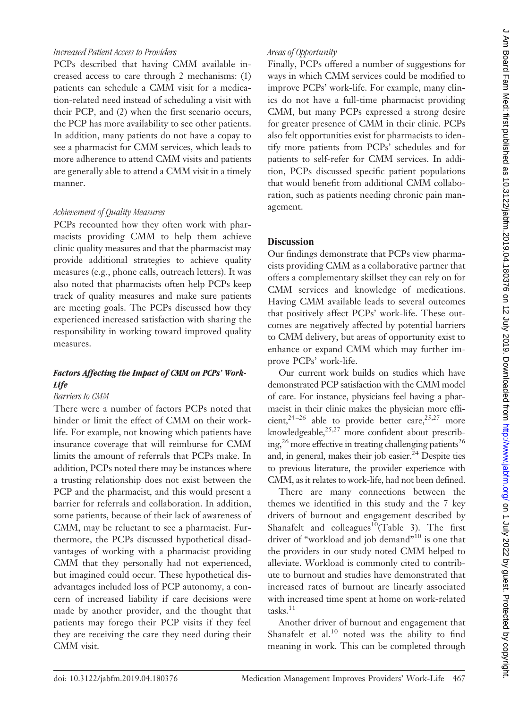## *Increased Patient Access to Providers*

PCPs described that having CMM available increased access to care through 2 mechanisms: (1) patients can schedule a CMM visit for a medication-related need instead of scheduling a visit with their PCP, and (2) when the first scenario occurs, the PCP has more availability to see other patients. In addition, many patients do not have a copay to see a pharmacist for CMM services, which leads to more adherence to attend CMM visits and patients are generally able to attend a CMM visit in a timely manner.

## *Achievement of Quality Measures*

PCPs recounted how they often work with pharmacists providing CMM to help them achieve clinic quality measures and that the pharmacist may provide additional strategies to achieve quality measures (e.g., phone calls, outreach letters). It was also noted that pharmacists often help PCPs keep track of quality measures and make sure patients are meeting goals. The PCPs discussed how they experienced increased satisfaction with sharing the responsibility in working toward improved quality measures.

# *Factors Affecting the Impact of CMM on PCPs' Work-Life*

# *Barriers to CMM*

There were a number of factors PCPs noted that hinder or limit the effect of CMM on their worklife. For example, not knowing which patients have insurance coverage that will reimburse for CMM limits the amount of referrals that PCPs make. In addition, PCPs noted there may be instances where a trusting relationship does not exist between the PCP and the pharmacist, and this would present a barrier for referrals and collaboration. In addition, some patients, because of their lack of awareness of CMM, may be reluctant to see a pharmacist. Furthermore, the PCPs discussed hypothetical disadvantages of working with a pharmacist providing CMM that they personally had not experienced, but imagined could occur. These hypothetical disadvantages included loss of PCP autonomy, a concern of increased liability if care decisions were made by another provider, and the thought that patients may forego their PCP visits if they feel they are receiving the care they need during their CMM visit.

# *Areas of Opportunity*

Finally, PCPs offered a number of suggestions for ways in which CMM services could be modified to improve PCPs' work-life. For example, many clinics do not have a full-time pharmacist providing CMM, but many PCPs expressed a strong desire for greater presence of CMM in their clinic. PCPs also felt opportunities exist for pharmacists to identify more patients from PCPs' schedules and for patients to self-refer for CMM services. In addition, PCPs discussed specific patient populations that would benefit from additional CMM collaboration, such as patients needing chronic pain management.

# **Discussion**

Our findings demonstrate that PCPs view pharmacists providing CMM as a collaborative partner that offers a complementary skillset they can rely on for CMM services and knowledge of medications. Having CMM available leads to several outcomes that positively affect PCPs' work-life. These outcomes are negatively affected by potential barriers to CMM delivery, but areas of opportunity exist to enhance or expand CMM which may further improve PCPs' work-life.

Our current work builds on studies which have demonstrated PCP satisfaction with the CMM model of care. For instance, physicians feel having a pharmacist in their clinic makes the physician more efficient,<sup>24-26</sup> able to provide better care,<sup>25,27</sup> more knowledgeable, $25,27$  more confident about prescribing,<sup>26</sup> more effective in treating challenging patients<sup>26</sup> and, in general, makes their job easier. $^{24}$  Despite ties to previous literature, the provider experience with CMM, as it relates to work-life, had not been defined.

There are many connections between the themes we identified in this study and the 7 key drivers of burnout and engagement described by Shanafelt and colleagues<sup>10</sup>(Table 3). The first driver of "workload and job demand"<sup>10</sup> is one that the providers in our study noted CMM helped to alleviate. Workload is commonly cited to contribute to burnout and studies have demonstrated that increased rates of burnout are linearly associated with increased time spent at home on work-related tasks.<sup>11</sup>

Another driver of burnout and engagement that Shanafelt et al. $^{10}$  noted was the ability to find meaning in work. This can be completed through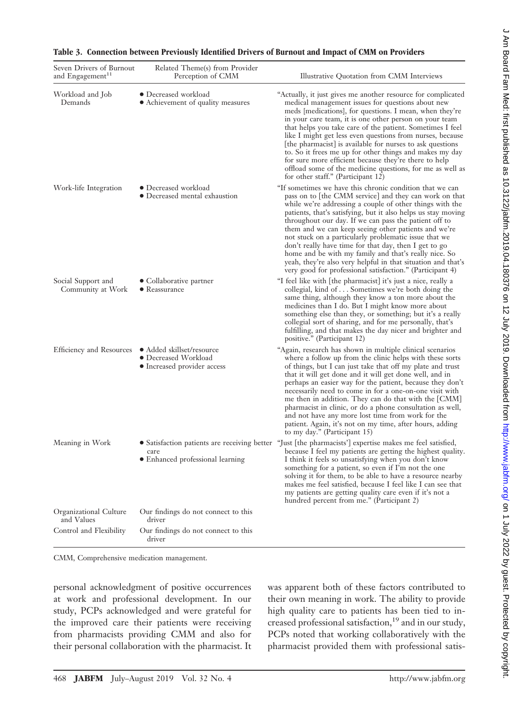| Seven Drivers of Burnout<br>and Engagement <sup>11</sup> | Related Theme(s) from Provider<br>Perception of CMM                              | Illustrative Quotation from CMM Interviews                                                                                                                                                                                                                                                                                                                                                                                                                                                                                                                                                                                                                               |
|----------------------------------------------------------|----------------------------------------------------------------------------------|--------------------------------------------------------------------------------------------------------------------------------------------------------------------------------------------------------------------------------------------------------------------------------------------------------------------------------------------------------------------------------------------------------------------------------------------------------------------------------------------------------------------------------------------------------------------------------------------------------------------------------------------------------------------------|
| Workload and Job<br>Demands                              | • Decreased workload<br>• Achievement of quality measures                        | "Actually, it just gives me another resource for complicated<br>medical management issues for questions about new<br>meds [medications], for questions. I mean, when they're<br>in your care team, it is one other person on your team<br>that helps you take care of the patient. Sometimes I feel<br>like I might get less even questions from nurses, because<br>[the pharmacist] is available for nurses to ask questions<br>to. So it frees me up for other things and makes my day<br>for sure more efficient because they're there to help<br>offload some of the medicine questions, for me as well as<br>for other staff." (Participant 12)                     |
| Work-life Integration                                    | • Decreased workload<br>• Decreased mental exhaustion                            | "If sometimes we have this chronic condition that we can<br>pass on to [the CMM service] and they can work on that<br>while we're addressing a couple of other things with the<br>patients, that's satisfying, but it also helps us stay moving<br>throughout our day. If we can pass the patient off to<br>them and we can keep seeing other patients and we're<br>not stuck on a particularly problematic issue that we<br>don't really have time for that day, then I get to go<br>home and be with my family and that's really nice. So<br>yeah, they're also very helpful in that situation and that's<br>very good for professional satisfaction." (Participant 4) |
| Social Support and<br>Community at Work                  | • Collaborative partner<br>$\bullet$ Reassurance                                 | "I feel like with [the pharmacist] it's just a nice, really a<br>collegial, kind of Sometimes we're both doing the<br>same thing, although they know a ton more about the<br>medicines than I do. But I might know more about<br>something else than they, or something; but it's a really<br>collegial sort of sharing, and for me personally, that's<br>fulfilling, and that makes the day nicer and brighter and<br>positive." (Participant 12)                                                                                                                                                                                                                       |
| Efficiency and Resources                                 | • Added skillset/resource<br>● Decreased Workload<br>• Increased provider access | "Again, research has shown in multiple clinical scenarios<br>where a follow up from the clinic helps with these sorts<br>of things, but I can just take that off my plate and trust<br>that it will get done and it will get done well, and in<br>perhaps an easier way for the patient, because they don't<br>necessarily need to come in for a one-on-one visit with<br>me then in addition. They can do that with the [CMM]<br>pharmacist in clinic, or do a phone consultation as well,<br>and not have any more lost time from work for the<br>patient. Again, it's not on my time, after hours, adding<br>to my day." (Participant 15)                             |
| Meaning in Work                                          | care<br>• Enhanced professional learning                                         | • Satisfaction patients are receiving better "Just [the pharmacists'] expertise makes me feel satisfied,<br>because I feel my patients are getting the highest quality.<br>I think it feels so unsatisfying when you don't know<br>something for a patient, so even if I'm not the one<br>solving it for them, to be able to have a resource nearby<br>makes me feel satisfied, because I feel like I can see that<br>my patients are getting quality care even if it's not a<br>hundred percent from me." (Participant 2)                                                                                                                                               |
| Organizational Culture<br>and Values                     | Our findings do not connect to this<br>driver                                    |                                                                                                                                                                                                                                                                                                                                                                                                                                                                                                                                                                                                                                                                          |
| Control and Flexibility                                  | Our findings do not connect to this<br>driver                                    |                                                                                                                                                                                                                                                                                                                                                                                                                                                                                                                                                                                                                                                                          |

## **Table 3. Connection between Previously Identified Drivers of Burnout and Impact of CMM on Providers**

CMM, Comprehensive medication management.

personal acknowledgment of positive occurrences at work and professional development. In our study, PCPs acknowledged and were grateful for the improved care their patients were receiving from pharmacists providing CMM and also for their personal collaboration with the pharmacist. It

was apparent both of these factors contributed to their own meaning in work. The ability to provide high quality care to patients has been tied to increased professional satisfaction,<sup>19</sup> and in our study, PCPs noted that working collaboratively with the pharmacist provided them with professional satisĊ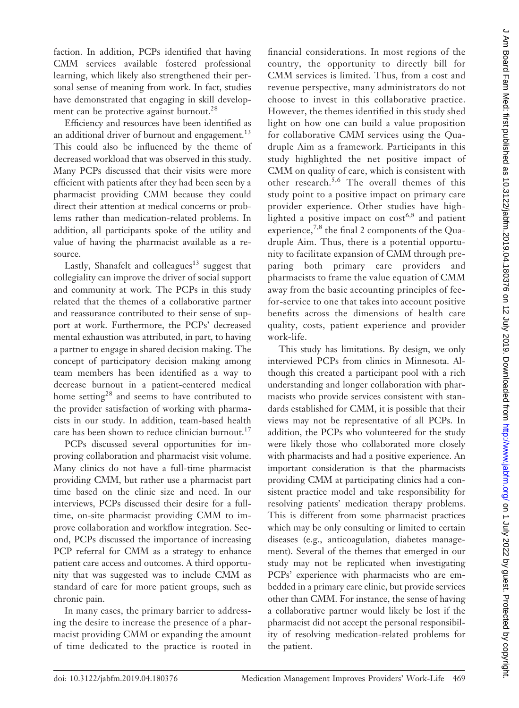faction. In addition, PCPs identified that having CMM services available fostered professional learning, which likely also strengthened their personal sense of meaning from work. In fact, studies have demonstrated that engaging in skill development can be protective against burnout.<sup>28</sup>

Efficiency and resources have been identified as an additional driver of burnout and engagement. $^{13}$ This could also be influenced by the theme of decreased workload that was observed in this study. Many PCPs discussed that their visits were more efficient with patients after they had been seen by a pharmacist providing CMM because they could direct their attention at medical concerns or problems rather than medication-related problems. In addition, all participants spoke of the utility and value of having the pharmacist available as a resource.

Lastly, Shanafelt and colleagues<sup>13</sup> suggest that collegiality can improve the driver of social support and community at work. The PCPs in this study related that the themes of a collaborative partner and reassurance contributed to their sense of support at work. Furthermore, the PCPs' decreased mental exhaustion was attributed, in part, to having a partner to engage in shared decision making. The concept of participatory decision making among team members has been identified as a way to decrease burnout in a patient-centered medical home setting<sup>28</sup> and seems to have contributed to the provider satisfaction of working with pharmacists in our study. In addition, team-based health care has been shown to reduce clinician burnout.<sup>17</sup>

PCPs discussed several opportunities for improving collaboration and pharmacist visit volume. Many clinics do not have a full-time pharmacist providing CMM, but rather use a pharmacist part time based on the clinic size and need. In our interviews, PCPs discussed their desire for a fulltime, on-site pharmacist providing CMM to improve collaboration and workflow integration. Second, PCPs discussed the importance of increasing PCP referral for CMM as a strategy to enhance patient care access and outcomes. A third opportunity that was suggested was to include CMM as standard of care for more patient groups, such as chronic pain.

In many cases, the primary barrier to addressing the desire to increase the presence of a pharmacist providing CMM or expanding the amount of time dedicated to the practice is rooted in

financial considerations. In most regions of the country, the opportunity to directly bill for CMM services is limited. Thus, from a cost and revenue perspective, many administrators do not choose to invest in this collaborative practice. However, the themes identified in this study shed light on how one can build a value proposition for collaborative CMM services using the Quadruple Aim as a framework. Participants in this study highlighted the net positive impact of CMM on quality of care, which is consistent with other research.<sup>5,6</sup> The overall themes of this study point to a positive impact on primary care provider experience. Other studies have highlighted a positive impact on  $cost^{6,8}$  and patient experience,  $7,8$  the final 2 components of the Quadruple Aim. Thus, there is a potential opportunity to facilitate expansion of CMM through preparing both primary care providers and pharmacists to frame the value equation of CMM away from the basic accounting principles of feefor-service to one that takes into account positive benefits across the dimensions of health care quality, costs, patient experience and provider work-life.

This study has limitations. By design, we only interviewed PCPs from clinics in Minnesota. Although this created a participant pool with a rich understanding and longer collaboration with pharmacists who provide services consistent with standards established for CMM, it is possible that their views may not be representative of all PCPs. In addition, the PCPs who volunteered for the study were likely those who collaborated more closely with pharmacists and had a positive experience. An important consideration is that the pharmacists providing CMM at participating clinics had a consistent practice model and take responsibility for resolving patients' medication therapy problems. This is different from some pharmacist practices which may be only consulting or limited to certain diseases (e.g., anticoagulation, diabetes management). Several of the themes that emerged in our study may not be replicated when investigating PCPs' experience with pharmacists who are embedded in a primary care clinic, but provide services other than CMM. For instance, the sense of having a collaborative partner would likely be lost if the pharmacist did not accept the personal responsibility of resolving medication-related problems for the patient.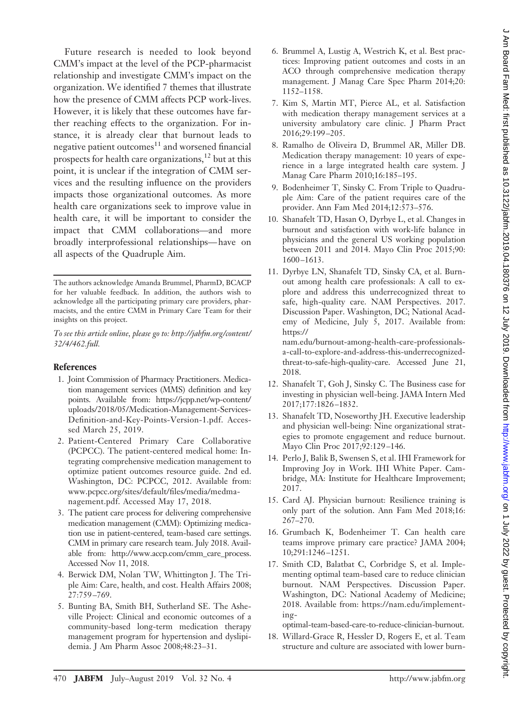Future research is needed to look beyond CMM's impact at the level of the PCP-pharmacist relationship and investigate CMM's impact on the organization. We identified 7 themes that illustrate how the presence of CMM affects PCP work-lives. However, it is likely that these outcomes have farther reaching effects to the organization. For instance, it is already clear that burnout leads to negative patient outcomes<sup>11</sup> and worsened financial prospects for health care organizations,<sup>12</sup> but at this point, it is unclear if the integration of CMM services and the resulting influence on the providers impacts those organizational outcomes. As more health care organizations seek to improve value in health care, it will be important to consider the impact that CMM collaborations—and more broadly interprofessional relationships— have on all aspects of the Quadruple Aim.

#### **References**

- 1. Joint Commission of Pharmacy Practitioners. Medication management services (MMS) definition and key points. Available from: [https://jcpp.net/wp-content/](https://jcpp.net/wp-content/uploads/2018/05/Medication-Management-Services-Definition-and-Key-Points-Version-1.pdf) [uploads/2018/05/Medication-Management-Services-](https://jcpp.net/wp-content/uploads/2018/05/Medication-Management-Services-Definition-and-Key-Points-Version-1.pdf)[Definition-and-Key-Points-Version-1.pdf.](https://jcpp.net/wp-content/uploads/2018/05/Medication-Management-Services-Definition-and-Key-Points-Version-1.pdf) Accessed March 25, 2019.
- 2. Patient-Centered Primary Care Collaborative (PCPCC). The patient-centered medical home: Integrating comprehensive medication management to optimize patient outcomes resource guide. 2nd ed. Washington, DC: PCPCC, 2012. Available from: [www.pcpcc.org/sites/default/files/media/medma](http://www.pcpcc.org/sites/default/files/media/medmanagement.pdf)[nagement.pdf.](http://www.pcpcc.org/sites/default/files/media/medmanagement.pdf) Accessed May 17, 2018.
- 3. The patient care process for delivering comprehensive medication management (CMM): Optimizing medication use in patient-centered, team-based care settings. CMM in primary care research team. July 2018. Available from: [http://www.accp.com/cmm\\_care\\_process.](http://www.accp.com/cmm_care_process) Accessed Nov 11, 2018.
- 4. Berwick DM, Nolan TW, Whittington J. The Triple Aim: Care, health, and cost. Health Affairs 2008; 27:759 –769.
- 5. Bunting BA, Smith BH, Sutherland SE. The Asheville Project: Clinical and economic outcomes of a community-based long-term medication therapy management program for hypertension and dyslipidemia. J Am Pharm Assoc 2008;48:23–31.
- 6. Brummel A, Lustig A, Westrich K, et al. Best practices: Improving patient outcomes and costs in an ACO through comprehensive medication therapy management. J Manag Care Spec Pharm 2014;20: 1152–1158.
- 7. Kim S, Martin MT, Pierce AL, et al. Satisfaction with medication therapy management services at a university ambulatory care clinic. J Pharm Pract 2016;29:199 –205.
- 8. Ramalho de Oliveira D, Brummel AR, Miller DB. Medication therapy management: 10 years of experience in a large integrated health care system. J Manag Care Pharm 2010;16:185–195.
- 9. Bodenheimer T, Sinsky C. From Triple to Quadruple Aim: Care of the patient requires care of the provider. Ann Fam Med 2014;12:573–576.
- 10. Shanafelt TD, Hasan O, Dyrbye L, et al. Changes in burnout and satisfaction with work-life balance in physicians and the general US working population between 2011 and 2014. Mayo Clin Proc 2015;90: 1600 –1613.
- 11. Dyrbye LN, Shanafelt TD, Sinsky CA, et al. Burnout among health care professionals: A call to explore and address this underrecognized threat to safe, high-quality care. NAM Perspectives. 2017. Discussion Paper. Washington, DC; National Academy of Medicine, July 5, 2017. Available from: [https://](https://nam.edu/burnout-among-health-care-professionals-a-call-to-explore-and-address-this-underrecognized-threat-to-safe-high-quality-care)

[nam.edu/burnout-among-health-care-professionals](https://nam.edu/burnout-among-health-care-professionals-a-call-to-explore-and-address-this-underrecognized-threat-to-safe-high-quality-care)[a-call-to-explore-and-address-this-underrecognized](https://nam.edu/burnout-among-health-care-professionals-a-call-to-explore-and-address-this-underrecognized-threat-to-safe-high-quality-care)[threat-to-safe-high-quality-care.](https://nam.edu/burnout-among-health-care-professionals-a-call-to-explore-and-address-this-underrecognized-threat-to-safe-high-quality-care) Accessed June 21, 2018.

- 12. Shanafelt T, Goh J, Sinsky C. The Business case for investing in physician well-being. JAMA Intern Med 2017;177:1826 –1832.
- 13. Shanafelt TD, Noseworthy JH. Executive leadership and physician well-being: Nine organizational strategies to promote engagement and reduce burnout. Mayo Clin Proc 2017;92:129 –146.
- 14. Perlo J, Balik B, Swensen S, et al. IHI Framework for Improving Joy in Work. IHI White Paper. Cambridge, MA: Institute for Healthcare Improvement; 2017.
- 15. Card AJ. Physician burnout: Resilience training is only part of the solution. Ann Fam Med 2018;16: 267–270.
- 16. Grumbach K, Bodenheimer T. Can health care teams improve primary care practice? JAMA 2004; 10;291:1246 –1251.
- 17. Smith CD, Balatbat C, Corbridge S, et al. Implementing optimal team-based care to reduce clinician burnout. NAM Perspectives. Discussion Paper. Washington, DC: National Academy of Medicine; 2018. Available from: [https://nam.edu/implement](https://nam.edu/implementing-optimal-team-based-care-to-reduce-clinician-burnout)[ing-](https://nam.edu/implementing-optimal-team-based-care-to-reduce-clinician-burnout)

[optimal-team-based-care-to-reduce-clinician-burnout.](https://nam.edu/implementing-optimal-team-based-care-to-reduce-clinician-burnout)

18. Willard-Grace R, Hessler D, Rogers E, et al. Team structure and culture are associated with lower burn-

The authors acknowledge Amanda Brummel, PharmD, BCACP for her valuable feedback. In addition, the authors wish to acknowledge all the participating primary care providers, pharmacists, and the entire CMM in Primary Care Team for their insights on this project.

*To see this article online, please go to: [http://jabfm.org/content/](http://jabfm.org/content/32/4/462.full) [32/4/462.full.](http://jabfm.org/content/32/4/462.full)*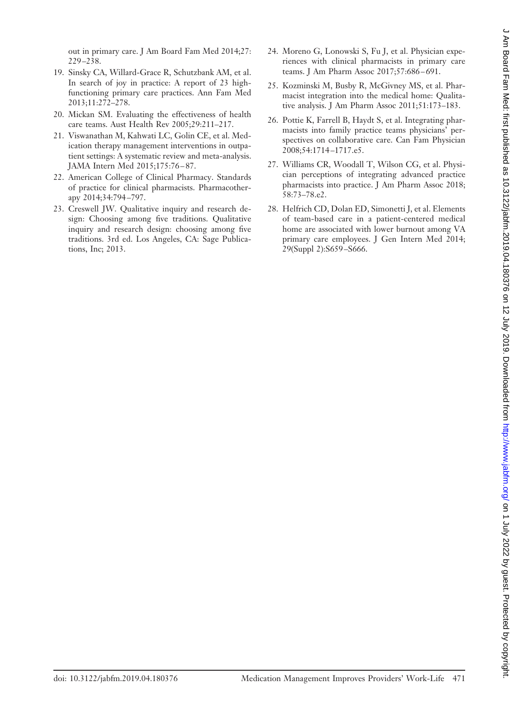out in primary care. J Am Board Fam Med 2014;27: 229 –238.

- 19. Sinsky CA, Willard-Grace R, Schutzbank AM, et al. In search of joy in practice: A report of 23 highfunctioning primary care practices. Ann Fam Med 2013;11:272–278.
- 20. Mickan SM. Evaluating the effectiveness of health care teams. Aust Health Rev 2005;29:211–217.
- 21. Viswanathan M, Kahwati LC, Golin CE, et al. Medication therapy management interventions in outpatient settings: A systematic review and meta-analysis. JAMA Intern Med 2015;175:76 – 87.
- 22. American College of Clinical Pharmacy. Standards of practice for clinical pharmacists. Pharmacotherapy 2014;34:794 –797.
- 23. Creswell JW. Qualitative inquiry and research design: Choosing among five traditions. Qualitative inquiry and research design: choosing among five traditions. 3rd ed. Los Angeles, CA: Sage Publications, Inc; 2013.
- 24. Moreno G, Lonowski S, Fu J, et al. Physician experiences with clinical pharmacists in primary care teams. J Am Pharm Assoc 2017;57:686 – 691.
- 25. Kozminski M, Busby R, McGivney MS, et al. Pharmacist integration into the medical home: Qualitative analysis. J Am Pharm Assoc 2011;51:173–183.
- 26. Pottie K, Farrell B, Haydt S, et al. Integrating pharmacists into family practice teams physicians' perspectives on collaborative care. Can Fam Physician 2008;54:1714 –1717.e5.
- 27. Williams CR, Woodall T, Wilson CG, et al. Physician perceptions of integrating advanced practice pharmacists into practice. J Am Pharm Assoc 2018; 58:73–78.e2.
- 28. Helfrich CD, Dolan ED, Simonetti J, et al. Elements of team-based care in a patient-centered medical home are associated with lower burnout among VA primary care employees. J Gen Intern Med 2014; 29(Suppl 2):S659 –S666.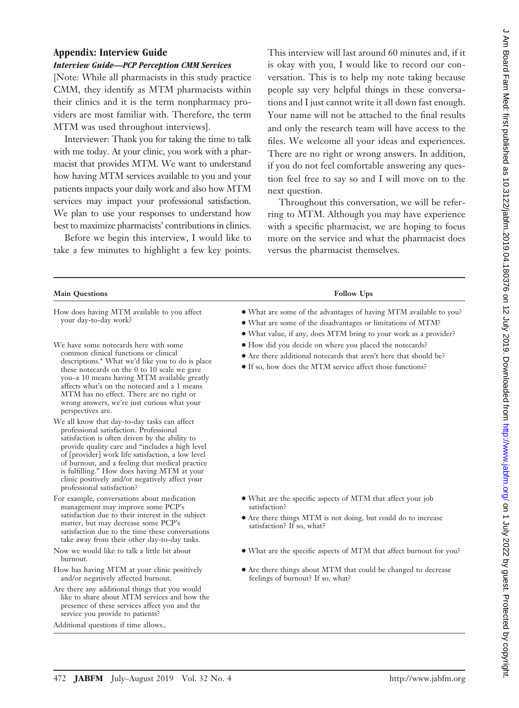# **Appendix: Interview Guide**

# *Interview Guide—PCP Perception CMM Services*

[Note: While all pharmacists in this study practice CMM, they identify as MTM pharmacists within their clinics and it is the term nonpharmacy providers are most familiar with. Therefore, the term MTM was used throughout interviews].

Interviewer: Thank you for taking the time to talk with me today. At your clinic, you work with a pharmacist that provides MTM. We want to understand how having MTM services available to you and your patients impacts your daily work and also how MTM services may impact your professional satisfaction. We plan to use your responses to understand how best to maximize pharmacists' contributions in clinics.

Before we begin this interview, I would like to take a few minutes to highlight a few key points. This interview will last around 60 minutes and, if it is okay with you, I would like to record our conversation. This is to help my note taking because people say very helpful things in these conversations and I just cannot write it all down fast enough. Your name will not be attached to the final results and only the research team will have access to the files. We welcome all your ideas and experiences. There are no right or wrong answers. In addition, if you do not feel comfortable answering any question feel free to say so and I will move on to the next question.

Throughout this conversation, we will be referring to MTM. Although you may have experience with a specific pharmacist, we are hoping to focus more on the service and what the pharmacist does versus the pharmacist themselves.

| <b>Main Questions</b>                                                                                                                                                                                                                                                                                                                                                                                                                | <b>Follow Ups</b>                                                                                                                                                                                    |
|--------------------------------------------------------------------------------------------------------------------------------------------------------------------------------------------------------------------------------------------------------------------------------------------------------------------------------------------------------------------------------------------------------------------------------------|------------------------------------------------------------------------------------------------------------------------------------------------------------------------------------------------------|
| How does having MTM available to you affect<br>your day-to-day work?                                                                                                                                                                                                                                                                                                                                                                 | • What are some of the advantages of having MTM available to you?<br>• What are some of the disadvantages or limitations of MTM?<br>• What value, if any, does MTM bring to your work as a provider? |
| We have some notecards here with some<br>common clinical functions or clinical<br>descriptions.* What we'd like you to do is place<br>these notecards on the 0 to 10 scale we gave<br>you-a 10 means having MTM available greatly<br>affects what's on the notecard and a 1 means<br>MTM has no effect. There are no right or<br>wrong answers, we're just curious what your<br>perspectives are.                                    | • How did you decide on where you placed the notecards?<br>• Are there additional notecards that aren't here that should be?<br>• If so, how does the MTM service affect those functions?            |
| We all know that day-to-day tasks can affect<br>professional satisfaction. Professional<br>satisfaction is often driven by the ability to<br>provide quality care and "includes a high level<br>of [provider] work life satisfaction, a low level<br>of burnout, and a feeling that medical practice<br>is fulfilling." How does having MTM at your<br>clinic positively and/or negatively affect your<br>professional satisfaction? |                                                                                                                                                                                                      |
| For example, conversations about medication<br>management may improve some PCP's                                                                                                                                                                                                                                                                                                                                                     | • What are the specific aspects of MTM that affect your job<br>satisfaction?                                                                                                                         |
| satisfaction due to their interest in the subject<br>matter, but may decrease some PCP's<br>satisfaction due to the time these conversations<br>take away from their other day-to-day tasks.                                                                                                                                                                                                                                         | • Are there things MTM is not doing, but could do to increase<br>satisfaction? If so, what?                                                                                                          |
| Now we would like to talk a little bit about<br>burnout.                                                                                                                                                                                                                                                                                                                                                                             | • What are the specific aspects of MTM that affect burnout for you?                                                                                                                                  |
| How has having MTM at your clinic positively<br>and/or negatively affected burnout.                                                                                                                                                                                                                                                                                                                                                  | • Are there things about MTM that could be changed to decrease<br>feelings of burnout? If so, what?                                                                                                  |
| Are there any additional things that you would<br>like to share about MTM services and how the<br>presence of these services affect you and the<br>service you provide to patients?                                                                                                                                                                                                                                                  |                                                                                                                                                                                                      |
| Additional questions if time allows                                                                                                                                                                                                                                                                                                                                                                                                  |                                                                                                                                                                                                      |